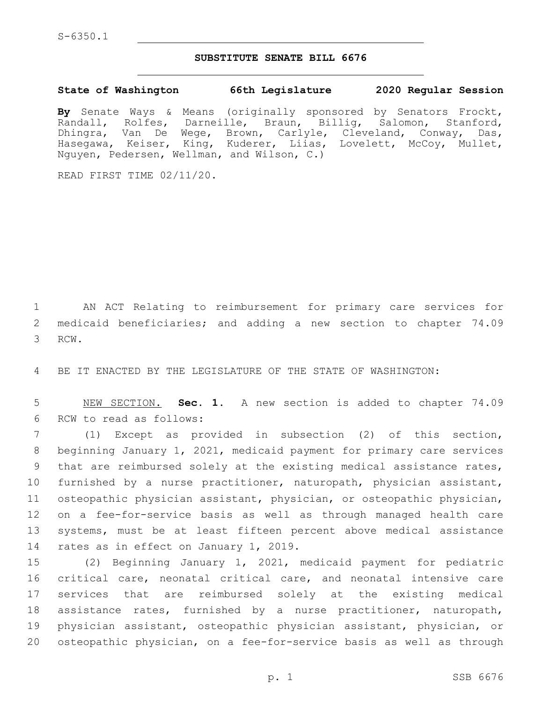S-6350.1

## **SUBSTITUTE SENATE BILL 6676**

**State of Washington 66th Legislature 2020 Regular Session**

**By** Senate Ways & Means (originally sponsored by Senators Frockt, Randall, Rolfes, Darneille, Braun, Billig, Salomon, Stanford, Dhingra, Van De Wege, Brown, Carlyle, Cleveland, Conway, Das, Hasegawa, Keiser, King, Kuderer, Liias, Lovelett, McCoy, Mullet, Nguyen, Pedersen, Wellman, and Wilson, C.)

READ FIRST TIME 02/11/20.

1 AN ACT Relating to reimbursement for primary care services for 2 medicaid beneficiaries; and adding a new section to chapter 74.09 3 RCW.

4 BE IT ENACTED BY THE LEGISLATURE OF THE STATE OF WASHINGTON:

5 NEW SECTION. **Sec. 1.** A new section is added to chapter 74.09 6 RCW to read as follows:

 (1) Except as provided in subsection (2) of this section, beginning January 1, 2021, medicaid payment for primary care services that are reimbursed solely at the existing medical assistance rates, furnished by a nurse practitioner, naturopath, physician assistant, osteopathic physician assistant, physician, or osteopathic physician, on a fee-for-service basis as well as through managed health care systems, must be at least fifteen percent above medical assistance 14 rates as in effect on January 1, 2019.

 (2) Beginning January 1, 2021, medicaid payment for pediatric critical care, neonatal critical care, and neonatal intensive care services that are reimbursed solely at the existing medical assistance rates, furnished by a nurse practitioner, naturopath, physician assistant, osteopathic physician assistant, physician, or osteopathic physician, on a fee-for-service basis as well as through